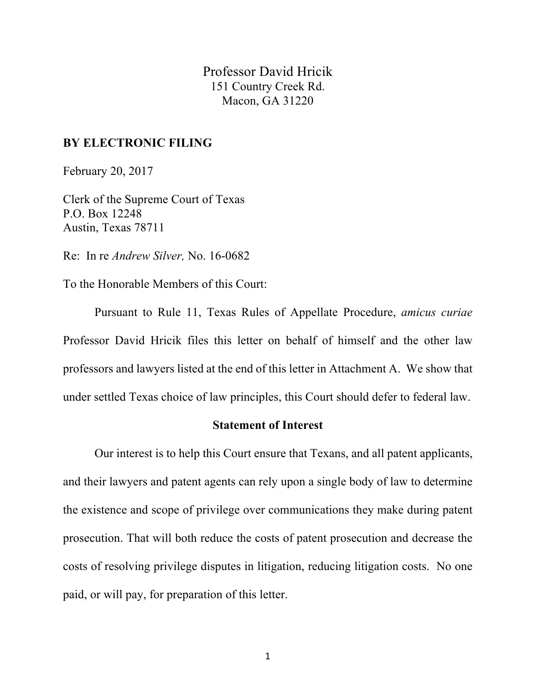Professor David Hricik 151 Country Creek Rd. Macon, GA 31220

## **BY ELECTRONIC FILING**

February 20, 2017

Clerk of the Supreme Court of Texas P.O. Box 12248 Austin, Texas 78711

Re: In re *Andrew Silver,* No. 16-0682

To the Honorable Members of this Court:

Pursuant to Rule 11, Texas Rules of Appellate Procedure, *amicus curiae* Professor David Hricik files this letter on behalf of himself and the other law professors and lawyers listed at the end of this letter in Attachment A. We show that under settled Texas choice of law principles, this Court should defer to federal law.

## **Statement of Interest**

Our interest is to help this Court ensure that Texans, and all patent applicants, and their lawyers and patent agents can rely upon a single body of law to determine the existence and scope of privilege over communications they make during patent prosecution. That will both reduce the costs of patent prosecution and decrease the costs of resolving privilege disputes in litigation, reducing litigation costs. No one paid, or will pay, for preparation of this letter.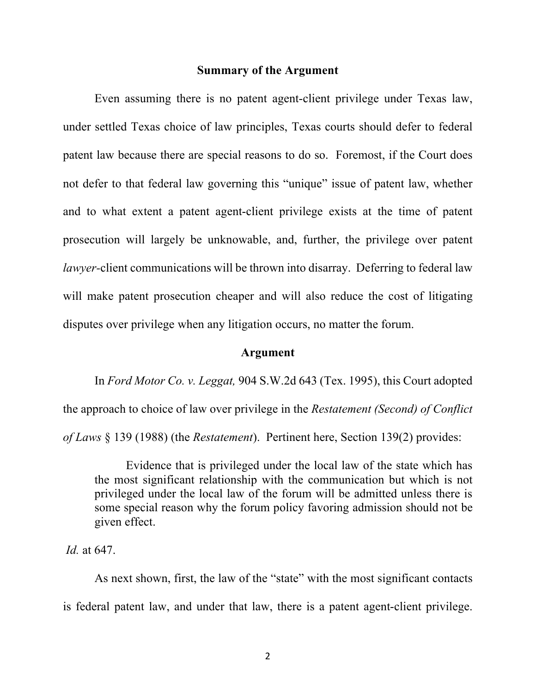#### **Summary of the Argument**

Even assuming there is no patent agent-client privilege under Texas law, under settled Texas choice of law principles, Texas courts should defer to federal patent law because there are special reasons to do so. Foremost, if the Court does not defer to that federal law governing this "unique" issue of patent law, whether and to what extent a patent agent-client privilege exists at the time of patent prosecution will largely be unknowable, and, further, the privilege over patent *lawyer-*client communications will be thrown into disarray. Deferring to federal law will make patent prosecution cheaper and will also reduce the cost of litigating disputes over privilege when any litigation occurs, no matter the forum.

### **Argument**

In *Ford Motor Co. v. Leggat,* 904 S.W.2d 643 (Tex. 1995), this Court adopted

the approach to choice of law over privilege in the *Restatement (Second) of Conflict of Laws* § 139 (1988) (the *Restatement*). Pertinent here, Section 139(2) provides:

Evidence that is privileged under the local law of the state which has the most significant relationship with the communication but which is not privileged under the local law of the forum will be admitted unless there is some special reason why the forum policy favoring admission should not be given effect.

*Id.* at 647.

As next shown, first, the law of the "state" with the most significant contacts is federal patent law, and under that law, there is a patent agent-client privilege.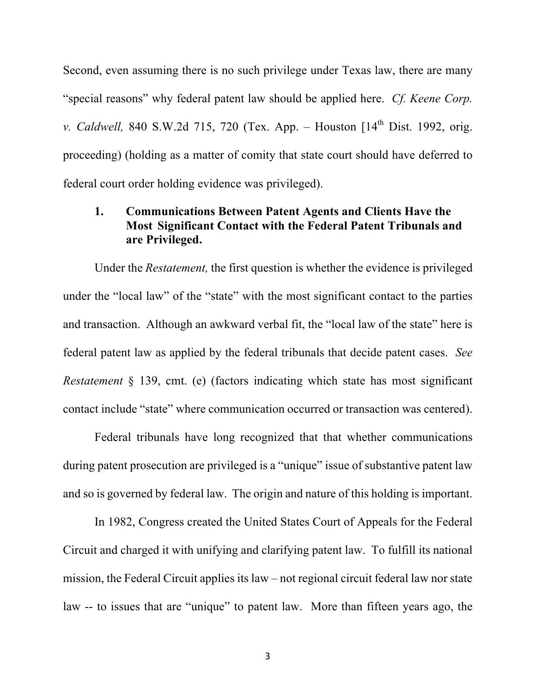Second, even assuming there is no such privilege under Texas law, there are many "special reasons" why federal patent law should be applied here. *Cf. Keene Corp. v. Caldwell*, 840 S.W.2d 715, 720 (Tex. App. – Houston [14<sup>th</sup> Dist. 1992, orig. proceeding) (holding as a matter of comity that state court should have deferred to federal court order holding evidence was privileged).

## **1. Communications Between Patent Agents and Clients Have the Most Significant Contact with the Federal Patent Tribunals and are Privileged.**

Under the *Restatement,* the first question is whether the evidence is privileged under the "local law" of the "state" with the most significant contact to the parties and transaction. Although an awkward verbal fit, the "local law of the state" here is federal patent law as applied by the federal tribunals that decide patent cases. *See Restatement* § 139, cmt. (e) (factors indicating which state has most significant contact include "state" where communication occurred or transaction was centered).

Federal tribunals have long recognized that that whether communications during patent prosecution are privileged is a "unique" issue of substantive patent law and so is governed by federal law. The origin and nature of this holding is important.

In 1982, Congress created the United States Court of Appeals for the Federal Circuit and charged it with unifying and clarifying patent law. To fulfill its national mission, the Federal Circuit applies its law – not regional circuit federal law nor state law -- to issues that are "unique" to patent law. More than fifteen years ago, the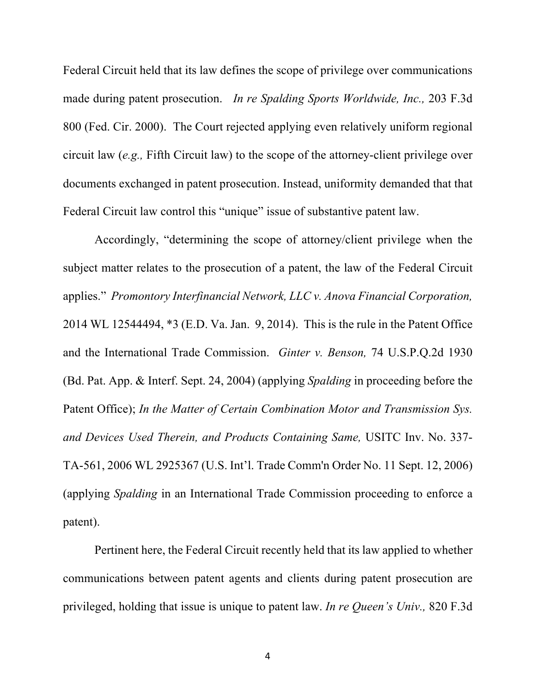Federal Circuit held that its law defines the scope of privilege over communications made during patent prosecution. *In re Spalding Sports Worldwide, Inc.,* 203 F.3d 800 (Fed. Cir. 2000). The Court rejected applying even relatively uniform regional circuit law (*e.g.,* Fifth Circuit law) to the scope of the attorney-client privilege over documents exchanged in patent prosecution. Instead, uniformity demanded that that Federal Circuit law control this "unique" issue of substantive patent law.

Accordingly, "determining the scope of attorney/client privilege when the subject matter relates to the prosecution of a patent, the law of the Federal Circuit applies." *Promontory Interfinancial Network, LLC v. Anova Financial Corporation,*  2014 WL 12544494, \*3 (E.D. Va. Jan. 9, 2014). This is the rule in the Patent Office and the International Trade Commission. *Ginter v. Benson,* 74 U.S.P.Q.2d 1930 (Bd. Pat. App. & Interf. Sept. 24, 2004) (applying *Spalding* in proceeding before the Patent Office); *In the Matter of Certain Combination Motor and Transmission Sys. and Devices Used Therein, and Products Containing Same,* USITC Inv. No. 337- TA-561, 2006 WL 2925367 (U.S. Int'l. Trade Comm'n Order No. 11 Sept. 12, 2006) (applying *Spalding* in an International Trade Commission proceeding to enforce a patent).

Pertinent here, the Federal Circuit recently held that its law applied to whether communications between patent agents and clients during patent prosecution are privileged, holding that issue is unique to patent law. *In re Queen's Univ.,* 820 F.3d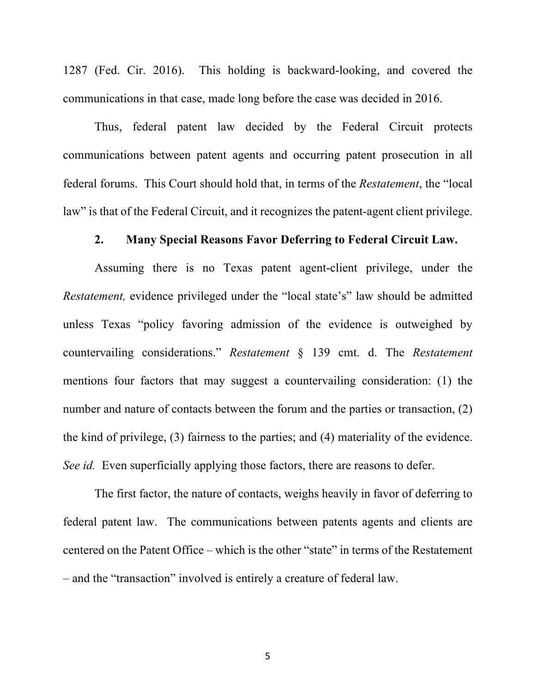1287 (Fed. Cir. 2016). This holding is backward-looking, and covered the communications in that case, made long before the case was decided in 2016.

Thus, federal patent law decided by the Federal Circuit protects communications between patent agents and occurring patent prosecution in all federal forums. This Court should hold that, in terms of the *Restatement*, the "local law" is that of the Federal Circuit, and it recognizes the patent-agent client privilege.

## **2. Many Special Reasons Favor Deferring to Federal Circuit Law.**

Assuming there is no Texas patent agent-client privilege, under the *Restatement,* evidence privileged under the "local state's" law should be admitted unless Texas "policy favoring admission of the evidence is outweighed by countervailing considerations." *Restatement* § 139 cmt. d. The *Restatement* mentions four factors that may suggest a countervailing consideration: (1) the number and nature of contacts between the forum and the parties or transaction, (2) the kind of privilege, (3) fairness to the parties; and (4) materiality of the evidence. *See id.* Even superficially applying those factors, there are reasons to defer.

The first factor, the nature of contacts, weighs heavily in favor of deferring to federal patent law. The communications between patents agents and clients are centered on the Patent Office – which is the other "state" in terms of the Restatement – and the "transaction" involved is entirely a creature of federal law.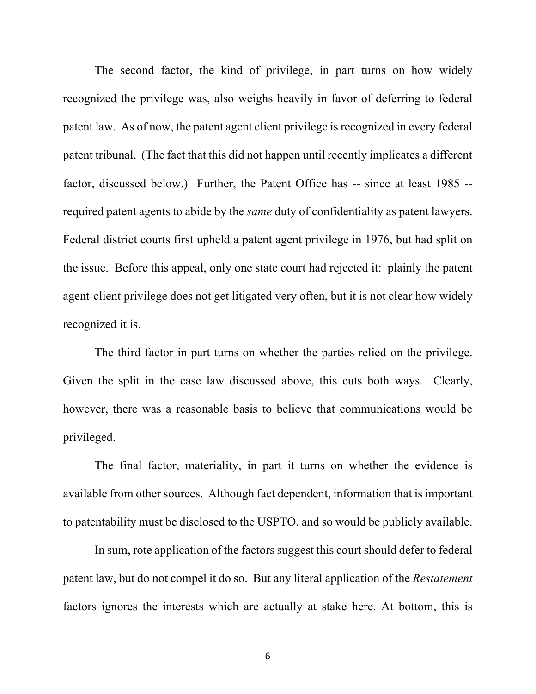The second factor, the kind of privilege, in part turns on how widely recognized the privilege was, also weighs heavily in favor of deferring to federal patent law. As of now, the patent agent client privilege is recognized in every federal patent tribunal. (The fact that this did not happen until recently implicates a different factor, discussed below.) Further, the Patent Office has -- since at least 1985 - required patent agents to abide by the *same* duty of confidentiality as patent lawyers. Federal district courts first upheld a patent agent privilege in 1976, but had split on the issue. Before this appeal, only one state court had rejected it: plainly the patent agent-client privilege does not get litigated very often, but it is not clear how widely recognized it is.

The third factor in part turns on whether the parties relied on the privilege. Given the split in the case law discussed above, this cuts both ways. Clearly, however, there was a reasonable basis to believe that communications would be privileged.

The final factor, materiality, in part it turns on whether the evidence is available from other sources. Although fact dependent, information that is important to patentability must be disclosed to the USPTO, and so would be publicly available.

In sum, rote application of the factors suggest this court should defer to federal patent law, but do not compel it do so. But any literal application of the *Restatement* factors ignores the interests which are actually at stake here. At bottom, this is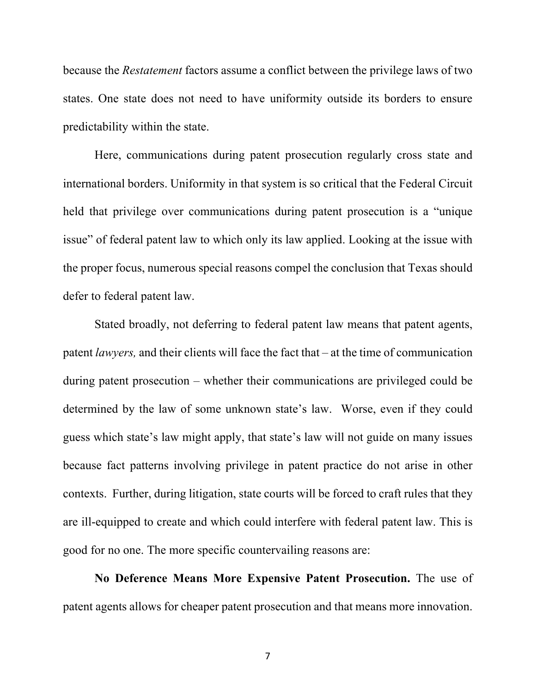because the *Restatement* factors assume a conflict between the privilege laws of two states. One state does not need to have uniformity outside its borders to ensure predictability within the state.

Here, communications during patent prosecution regularly cross state and international borders. Uniformity in that system is so critical that the Federal Circuit held that privilege over communications during patent prosecution is a "unique issue" of federal patent law to which only its law applied. Looking at the issue with the proper focus, numerous special reasons compel the conclusion that Texas should defer to federal patent law.

Stated broadly, not deferring to federal patent law means that patent agents, patent *lawyers,* and their clients will face the fact that – at the time of communication during patent prosecution – whether their communications are privileged could be determined by the law of some unknown state's law. Worse, even if they could guess which state's law might apply, that state's law will not guide on many issues because fact patterns involving privilege in patent practice do not arise in other contexts. Further, during litigation, state courts will be forced to craft rules that they are ill-equipped to create and which could interfere with federal patent law. This is good for no one. The more specific countervailing reasons are:

**No Deference Means More Expensive Patent Prosecution.** The use of patent agents allows for cheaper patent prosecution and that means more innovation.

7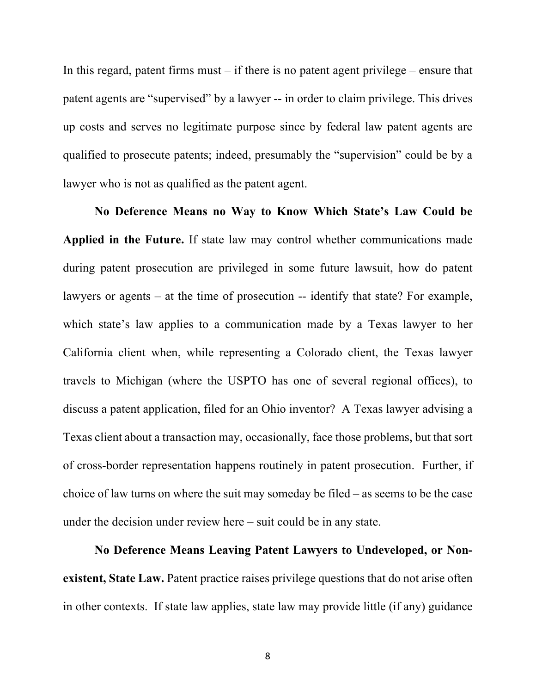In this regard, patent firms must  $-$  if there is no patent agent privilege  $-$  ensure that patent agents are "supervised" by a lawyer -- in order to claim privilege. This drives up costs and serves no legitimate purpose since by federal law patent agents are qualified to prosecute patents; indeed, presumably the "supervision" could be by a lawyer who is not as qualified as the patent agent.

**No Deference Means no Way to Know Which State's Law Could be Applied in the Future.** If state law may control whether communications made during patent prosecution are privileged in some future lawsuit, how do patent lawyers or agents – at the time of prosecution -- identify that state? For example, which state's law applies to a communication made by a Texas lawyer to her California client when, while representing a Colorado client, the Texas lawyer travels to Michigan (where the USPTO has one of several regional offices), to discuss a patent application, filed for an Ohio inventor? A Texas lawyer advising a Texas client about a transaction may, occasionally, face those problems, but that sort of cross-border representation happens routinely in patent prosecution. Further, if choice of law turns on where the suit may someday be filed – as seems to be the case under the decision under review here – suit could be in any state.

**No Deference Means Leaving Patent Lawyers to Undeveloped, or Nonexistent, State Law.** Patent practice raises privilege questions that do not arise often in other contexts. If state law applies, state law may provide little (if any) guidance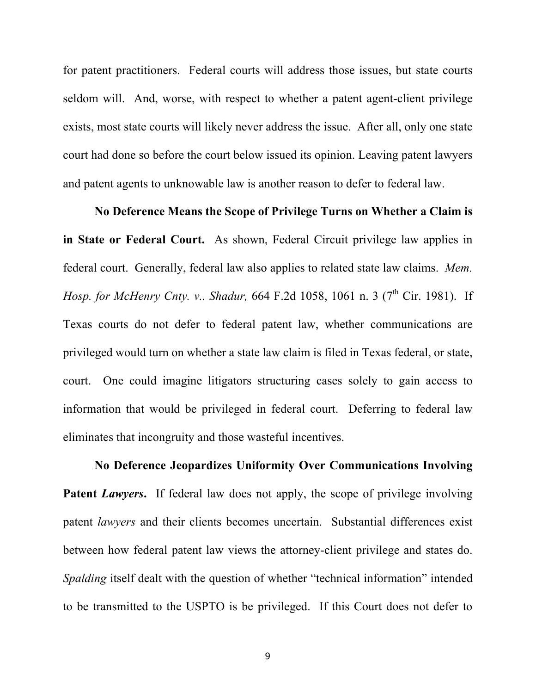for patent practitioners. Federal courts will address those issues, but state courts seldom will. And, worse, with respect to whether a patent agent-client privilege exists, most state courts will likely never address the issue. After all, only one state court had done so before the court below issued its opinion. Leaving patent lawyers and patent agents to unknowable law is another reason to defer to federal law.

**No Deference Means the Scope of Privilege Turns on Whether a Claim is in State or Federal Court.** As shown, Federal Circuit privilege law applies in federal court. Generally, federal law also applies to related state law claims. *Mem. Hosp. for McHenry Cnty. v.. Shadur,* 664 F.2d 1058, 1061 n. 3 (7<sup>th</sup> Cir. 1981). If Texas courts do not defer to federal patent law, whether communications are privileged would turn on whether a state law claim is filed in Texas federal, or state, court. One could imagine litigators structuring cases solely to gain access to information that would be privileged in federal court. Deferring to federal law eliminates that incongruity and those wasteful incentives.

**No Deference Jeopardizes Uniformity Over Communications Involving Patent** *Lawyers*. If federal law does not apply, the scope of privilege involving patent *lawyers* and their clients becomes uncertain. Substantial differences exist between how federal patent law views the attorney-client privilege and states do. *Spalding* itself dealt with the question of whether "technical information" intended to be transmitted to the USPTO is be privileged. If this Court does not defer to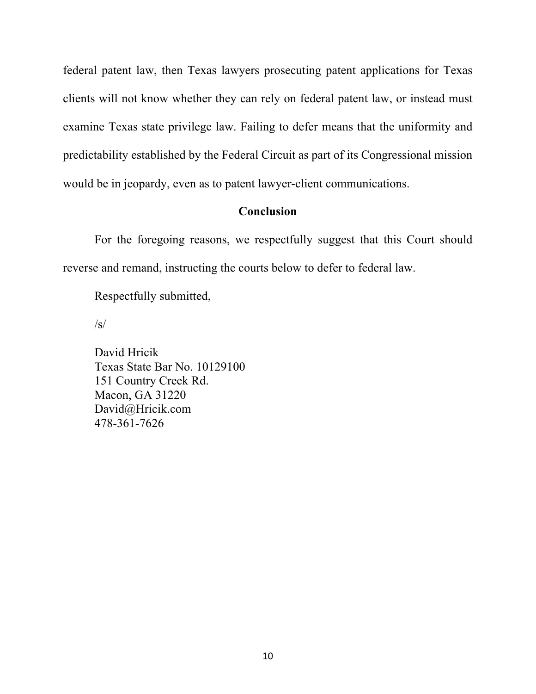federal patent law, then Texas lawyers prosecuting patent applications for Texas clients will not know whether they can rely on federal patent law, or instead must examine Texas state privilege law. Failing to defer means that the uniformity and predictability established by the Federal Circuit as part of its Congressional mission would be in jeopardy, even as to patent lawyer-client communications.

## **Conclusion**

For the foregoing reasons, we respectfully suggest that this Court should reverse and remand, instructing the courts below to defer to federal law.

Respectfully submitted,

 $\sqrt{s}$ 

David Hricik Texas State Bar No. 10129100 151 Country Creek Rd. Macon, GA 31220 David@Hricik.com 478-361-7626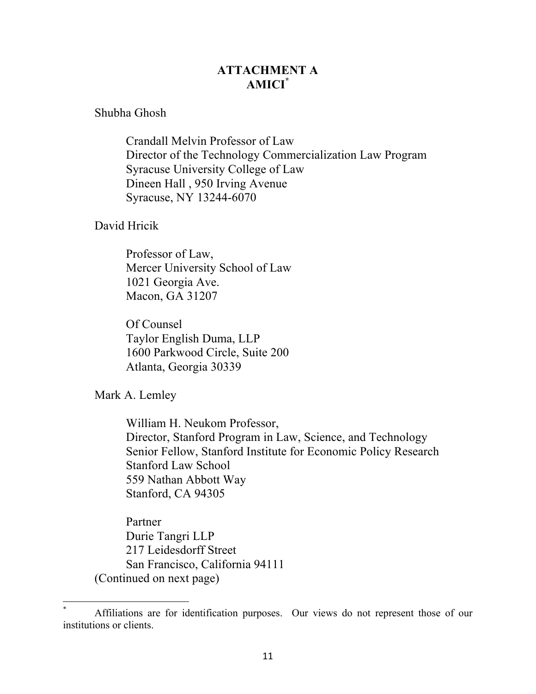# **ATTACHMENT A AMICI\***

Shubha Ghosh

Crandall Melvin Professor of Law Director of the Technology Commercialization Law Program Syracuse University College of Law Dineen Hall , 950 Irving Avenue Syracuse, NY 13244-6070

David Hricik

Professor of Law, Mercer University School of Law 1021 Georgia Ave. Macon, GA 31207

Of Counsel Taylor English Duma, LLP 1600 Parkwood Circle, Suite 200 Atlanta, Georgia 30339

Mark A. Lemley

William H. Neukom Professor, Director, Stanford Program in Law, Science, and Technology Senior Fellow, Stanford Institute for Economic Policy Research Stanford Law School 559 Nathan Abbott Way Stanford, CA 94305

Partner Durie Tangri LLP 217 Leidesdorff Street San Francisco, California 94111 (Continued on next page)

Affiliations are for identification purposes. Our views do not represent those of our institutions or clients.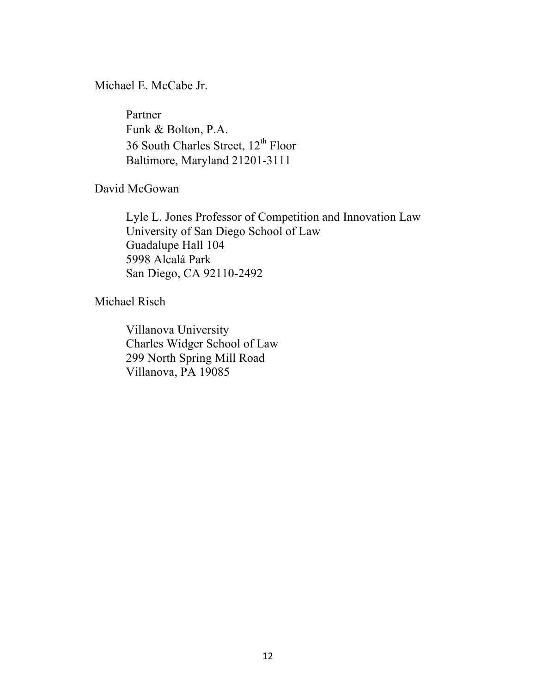Michael E. McCabe Jr.

Partner Funk & Bolton, P.A. 36 South Charles Street, 12<sup>th</sup> Floor Baltimore, Maryland 21201-3111

David McGowan

Lyle L. Jones Professor of Competition and Innovation Law University of San Diego School of Law Guadalupe Hall 104 5998 Alcalá Park San Diego, CA 92110-2492

Michael Risch

Villanova University Charles Widger School of Law 299 North Spring Mill Road Villanova, PA 19085